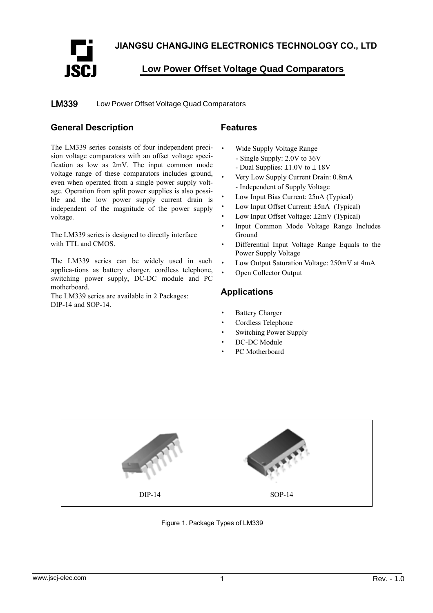**JIANGSU CHANGJING ELECTRONICS TECHNOLOGY CO., LTD** 



**Low Power Offset Voltage Quad Comparators**

Low Power Offset Voltage Quad Comparators LM339

## **General Description**

The LM339 series consists of four independent precision voltage comparators with an offset voltage specification as low as 2mV. The input common mode voltage range of these comparators includes ground, even when operated from a single power supply voltage. Operation from split power supplies is also possible and the low power supply current drain is independent of the magnitude of the power supply voltage.

The LM339 series is designed to directly interface with TTL and CMOS.

The LM339 series can be widely used in such applica-tions as battery charger, cordless telephone, switching power supply, DC-DC module and PC motherboard.

The LM339 series are available in 2 Packages: DIP-14 and SOP-14.

### **Features**

- Wide Supply Voltage Range
	- Single Supply: 2.0V to 36V
	- Dual Supplies: ±1.0V to ± 18V
- · Very Low Supply Current Drain: 0.8mA - Independent of Supply Voltage
- Low Input Bias Current: 25nA (Typical)
- Low Input Offset Current:  $\pm$ 5nA (Typical)
- Low Input Offset Voltage:  $\pm 2mV$  (Typical)
- · Input Common Mode Voltage Range Includes Ground
- Differential Input Voltage Range Equals to the Power Supply Voltage
- Low Output Saturation Voltage: 250mV at 4mA
- Open Collector Output

### **Applications**

- **Battery Charger**
- Cordless Telephone
- Switching Power Supply
- DC-DC Module
- PC Motherboard



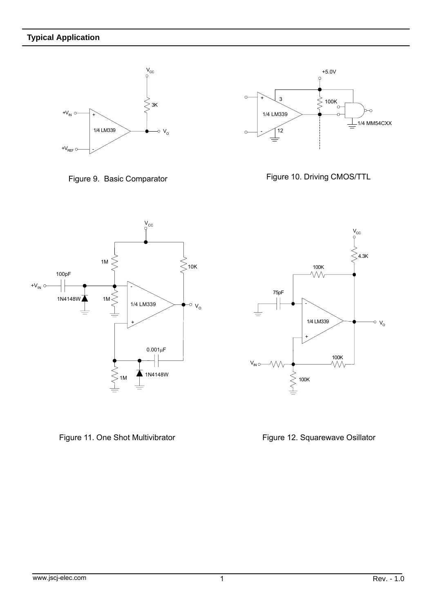







Figure 11. One Shot Multivibrator



Figure 12. Squarewave Osillator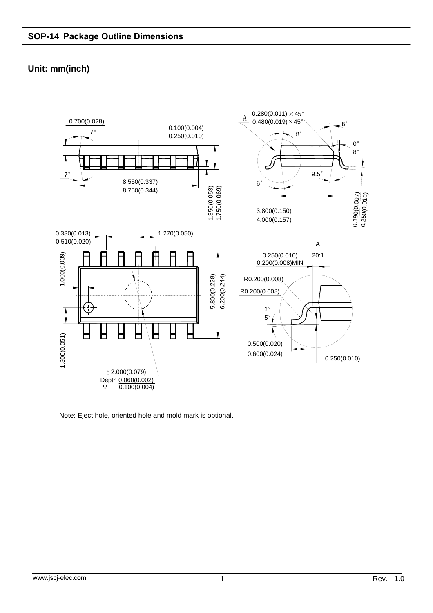# **Unit: mm(inch)**



Note: Eject hole, oriented hole and mold mark is optional.